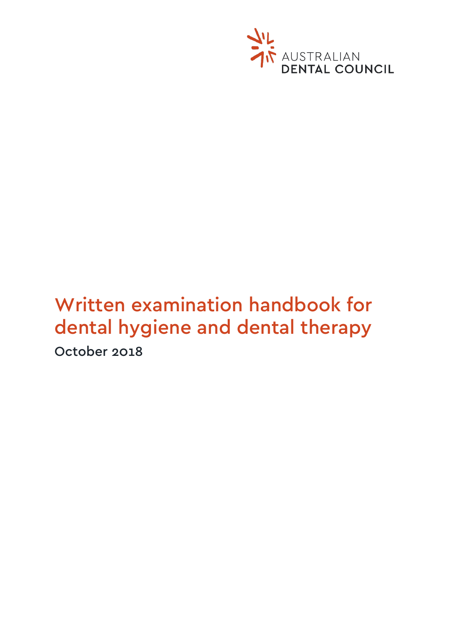

# Written examination handbook for dental hygiene and dental therapy October 2018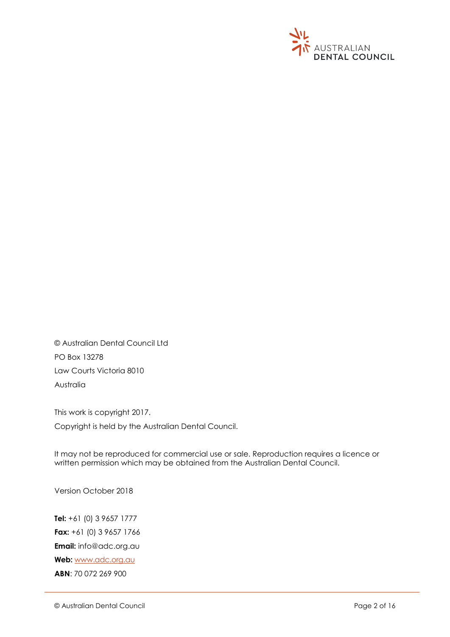

© Australian Dental Council Ltd PO Box 13278 Law Courts Victoria 8010 Australia

This work is copyright 2017. Copyright is held by the Australian Dental Council.

It may not be reproduced for commercial use or sale. Reproduction requires a licence or written permission which may be obtained from the Australian Dental Council.

Version October 2018

**Tel:** +61 (0) 3 9657 1777 **Fax:** +61 (0) 3 9657 1766 **Email:** info@adc.org.au **Web:** [www.adc.org.au](http://www.adc.org.au/) **ABN**: 70 072 269 900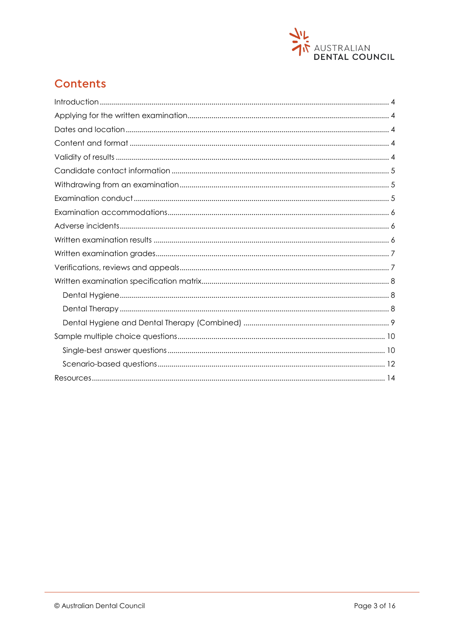

## **Contents**

<span id="page-2-0"></span>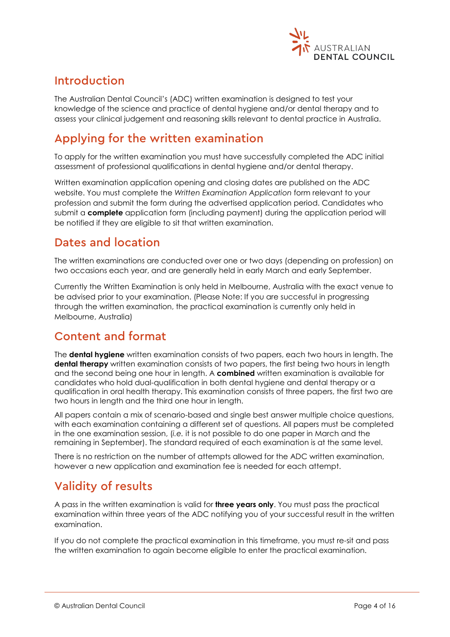

### Introduction

The Australian Dental Council's (ADC) written examination is designed to test your knowledge of the science and practice of dental hygiene and/or dental therapy and to assess your clinical judgement and reasoning skills relevant to dental practice in Australia.

# <span id="page-3-0"></span>Applying for the written examination

To apply for the written examination you must have successfully completed the ADC initial assessment of professional qualifications in dental hygiene and/or dental therapy.

Written examination application opening and closing dates are published on the ADC website. You must complete the *Written Examination Application* form relevant to your profession and submit the form during the advertised application period. Candidates who submit a **complete** application form (including payment) during the application period will be notified if they are eligible to sit that written examination.

### <span id="page-3-1"></span>Dates and location

The written examinations are conducted over one or two days (depending on profession) on two occasions each year, and are generally held in early March and early September.

Currently the Written Examination is only held in Melbourne, Australia with the exact venue to be advised prior to your examination. (Please Note: If you are successful in progressing through the written examination, the practical examination is currently only held in Melbourne, Australia)

### <span id="page-3-2"></span>Content and format

The **dental hygiene** written examination consists of two papers, each two hours in length. The **dental therapy** written examination consists of two papers, the first being two hours in length and the second being one hour in length. A **combined** written examination is available for candidates who hold dual-qualification in both dental hygiene and dental therapy or a qualification in oral health therapy. This examination consists of three papers, the first two are two hours in length and the third one hour in length.

All papers contain a mix of scenario-based and single best answer multiple choice questions, with each examination containing a different set of questions. All papers must be completed in the one examination session, (*i.e.* it is not possible to do one paper in March and the remaining in September). The standard required of each examination is at the same level.

There is no restriction on the number of attempts allowed for the ADC written examination, however a new application and examination fee is needed for each attempt.

### <span id="page-3-3"></span>Validity of results

A pass in the written examination is valid for **three years only**. You must pass the practical examination within three years of the ADC notifying you of your successful result in the written examination.

If you do not complete the practical examination in this timeframe, you must re-sit and pass the written examination to again become eligible to enter the practical examination.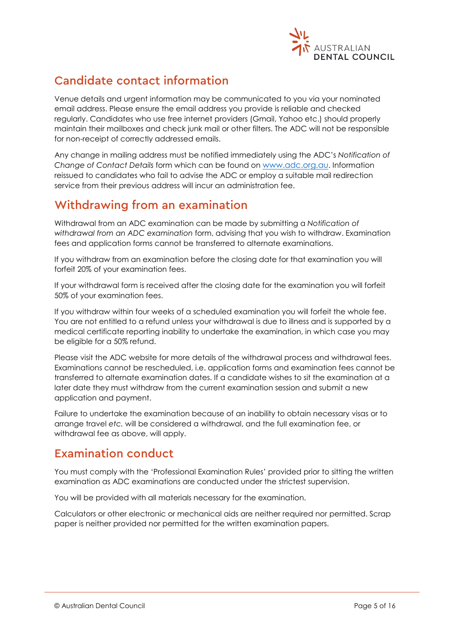

# <span id="page-4-0"></span>Candidate contact information

Venue details and urgent information may be communicated to you via your nominated email address. Please ensure the email address you provide is reliable and checked regularly. Candidates who use free internet providers (Gmail, Yahoo etc.) should properly maintain their mailboxes and check junk mail or other filters. The ADC will not be responsible for non-receipt of correctly addressed emails.

Any change in mailing address must be notified immediately using the ADC's *Notification of Change of Contact Details* form which can be found on [www.adc.org.au.](http://www.adc.org.au/) Information reissued to candidates who fail to advise the ADC or employ a suitable mail redirection service from their previous address will incur an administration fee.

### <span id="page-4-1"></span>Withdrawing from an examination

Withdrawal from an ADC examination can be made by submitting a *Notification of withdrawal from an ADC examination* form, advising that you wish to withdraw. Examination fees and application forms cannot be transferred to alternate examinations.

If you withdraw from an examination before the closing date for that examination you will forfeit 20% of your examination fees.

If your withdrawal form is received after the closing date for the examination you will forfeit 50% of your examination fees.

If you withdraw within four weeks of a scheduled examination you will forfeit the whole fee. You are not entitled to a refund unless your withdrawal is due to illness and is supported by a medical certificate reporting inability to undertake the examination, in which case you may be eligible for a 50% refund.

Please visit the ADC website for more details of the withdrawal process and withdrawal fees. Examinations cannot be rescheduled, i.e. application forms and examination fees cannot be transferred to alternate examination dates. If a candidate wishes to sit the examination at a later date they must withdraw from the current examination session and submit a new application and payment.

Failure to undertake the examination because of an inability to obtain necessary visas or to arrange travel *etc.* will be considered a withdrawal, and the full examination fee, or withdrawal fee as above, will apply.

### <span id="page-4-2"></span>Examination conduct

You must comply with the 'Professional Examination Rules' provided prior to sitting the written examination as ADC examinations are conducted under the strictest supervision.

You will be provided with all materials necessary for the examination.

Calculators or other electronic or mechanical aids are neither required nor permitted. Scrap paper is neither provided nor permitted for the written examination papers.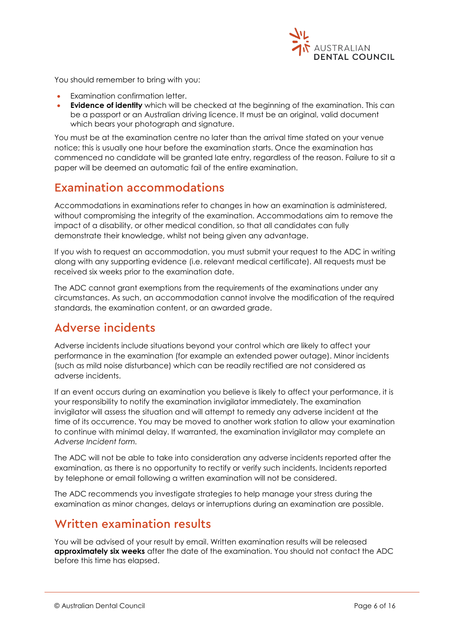

You should remember to bring with you:

- Examination confirmation letter.
- **Evidence of identity** which will be checked at the beginning of the examination. This can be a passport or an Australian driving licence. It must be an original, valid document which bears your photograph and signature.

You must be at the examination centre no later than the arrival time stated on your venue notice; this is usually one hour before the examination starts. Once the examination has commenced no candidate will be granted late entry, regardless of the reason. Failure to sit a paper will be deemed an automatic fail of the entire examination.

### <span id="page-5-0"></span>Examination accommodations

Accommodations in examinations refer to changes in how an examination is administered, without compromising the integrity of the examination. Accommodations aim to remove the impact of a disability, or other medical condition, so that all candidates can fully demonstrate their knowledge, whilst not being given any advantage.

If you wish to request an accommodation, you must submit your request to the ADC in writing along with any supporting evidence (i.e. relevant medical certificate). All requests must be received six weeks prior to the examination date.

The ADC cannot grant exemptions from the requirements of the examinations under any circumstances. As such, an accommodation cannot involve the modification of the required standards, the examination content, or an awarded grade.

### <span id="page-5-1"></span>Adverse incidents

Adverse incidents include situations beyond your control which are likely to affect your performance in the examination (for example an extended power outage). Minor incidents (such as mild noise disturbance) which can be readily rectified are not considered as adverse incidents.

If an event occurs during an examination you believe is likely to affect your performance, it is your responsibility to notify the examination invigilator immediately. The examination invigilator will assess the situation and will attempt to remedy any adverse incident at the time of its occurrence. You may be moved to another work station to allow your examination to continue with minimal delay. If warranted, the examination invigilator may complete an *Adverse Incident form.*

The ADC will not be able to take into consideration any adverse incidents reported after the examination, as there is no opportunity to rectify or verify such incidents. Incidents reported by telephone or email following a written examination will not be considered.

The ADC recommends you investigate strategies to help manage your stress during the examination as minor changes, delays or interruptions during an examination are possible.

### <span id="page-5-2"></span>Written examination results

You will be advised of your result by email. Written examination results will be released **approximately six weeks** after the date of the examination. You should not contact the ADC before this time has elapsed.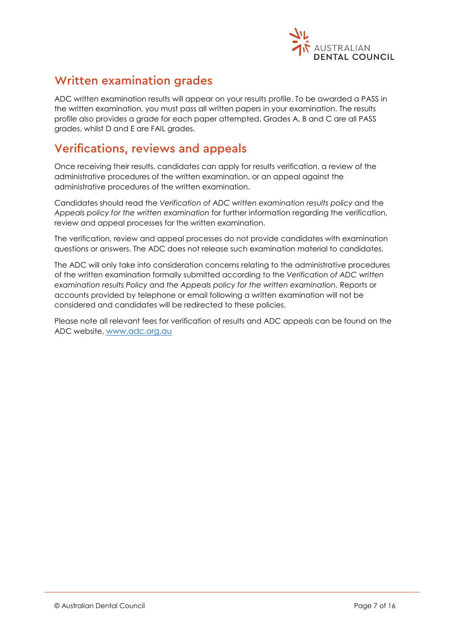

### <span id="page-6-0"></span>Written examination grades

ADC written examination results will appear on your results profile. To be awarded a PASS in the written examination, you must pass all written papers in your examination. The results profile also provides a grade for each paper attempted. Grades A, B and C are all PASS grades, whilst D and E are FAIL grades.

### <span id="page-6-1"></span>Verifications, reviews and appeals

Once receiving their results, candidates can apply for results verification, a review of the administrative procedures of the written examination, or an appeal against the administrative procedures of the written examination.

Candidates should read the *Verification of ADC written examination results policy* and the *Appeals policy for the written examination* for further information regarding the verification, review and appeal processes for the written examination.

The verification, review and appeal processes do not provide candidates with examination questions or answers. The ADC does not release such examination material to candidates.

The ADC will only take into consideration concerns relating to the administrative procedures of the written examination formally submitted according to the *Verification of ADC written examination results Policy* and *the Appeals policy for the written examination*. Reports or accounts provided by telephone or email following a written examination will not be considered and candidates will be redirected to these policies.

Please note all relevant fees for verification of results and ADC appeals can be found on the ADC website, [www.adc.org.au](http://www.adc.org.au/)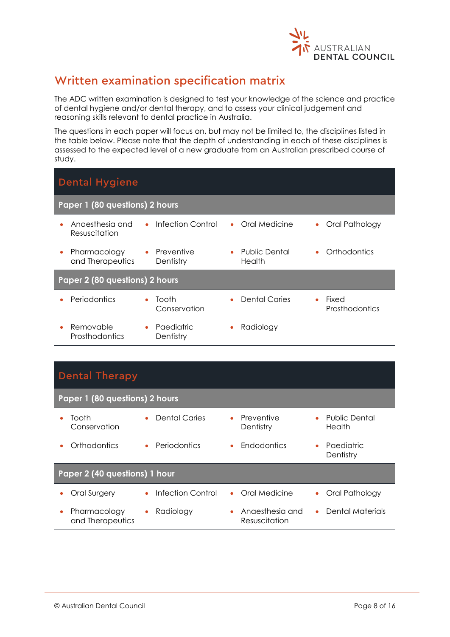

# <span id="page-7-0"></span>Written examination specification matrix

The ADC written examination is designed to test your knowledge of the science and practice of dental hygiene and/or dental therapy, and to assess your clinical judgement and reasoning skills relevant to dental practice in Australia.

The questions in each paper will focus on, but may not be limited to, the disciplines listed in the table below. Please note that the depth of understanding in each of these disciplines is assessed to the expected level of a new graduate from an Australian prescribed course of study.

<span id="page-7-1"></span>

| <b>Dental Hygiene</b>                    |                                      |                                             |                                             |  |  |
|------------------------------------------|--------------------------------------|---------------------------------------------|---------------------------------------------|--|--|
| Paper 1 (80 questions) 2 hours           |                                      |                                             |                                             |  |  |
| Angesthesig and<br>۰<br>Resuscitation    | Infection Control<br>$\bullet$       | Oral Medicine<br>$\bullet$                  | Oral Pathology<br>$\bullet$                 |  |  |
| Pharmacology<br>۰<br>and Therapeutics    | Preventive<br>$\bullet$<br>Dentistry | <b>Public Dental</b><br>$\bullet$<br>Health | Orthodontics<br>٠                           |  |  |
| Paper 2 (80 questions) 2 hours           |                                      |                                             |                                             |  |  |
| Periodontics<br>$\bullet$                | Tooth<br>Conservation                | <b>Dental Caries</b>                        | Fixed<br>$\bullet$<br><b>Prosthodontics</b> |  |  |
| Removable<br>$\bullet$<br>Prosthodontics | Paediatric<br>Dentistry              | Radiology                                   |                                             |  |  |

<span id="page-7-2"></span>

| <b>Dental Therapy</b>                         |                               |                                  |                                             |  |  |  |
|-----------------------------------------------|-------------------------------|----------------------------------|---------------------------------------------|--|--|--|
| Paper 1 (80 questions) 2 hours                |                               |                                  |                                             |  |  |  |
| Tooth<br>Conservation                         | <b>Dental Caries</b><br>٠     | Preventive<br>Dentistry          | <b>Public Dental</b><br>$\bullet$<br>Health |  |  |  |
| Orthodontics                                  | Periodontics<br>$\bullet$     | <b>Endodontics</b>               | Paediatric<br>٠<br>Dentistry                |  |  |  |
| Paper 2 (40 questions) 1 hour                 |                               |                                  |                                             |  |  |  |
| <b>Oral Surgery</b><br>۰                      | <b>Infection Control</b><br>٠ | Oral Medicine<br>$\bullet$       | Oral Pathology<br>$\bullet$                 |  |  |  |
| Pharmacology<br>$\bullet$<br>and Therapeutics | Radiology<br>۰                | Angesthesig and<br>Resuscitation | Dental Materials<br>$\bullet$               |  |  |  |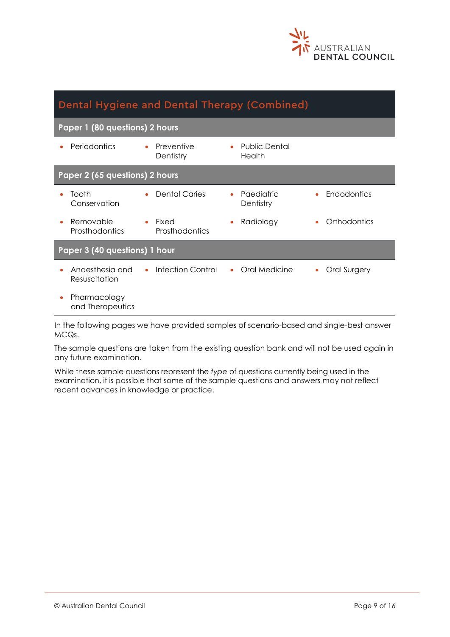

<span id="page-8-0"></span>

| Dental Hygiene and Dental Therapy (Combined) |                                |                                      |                   |  |  |  |
|----------------------------------------------|--------------------------------|--------------------------------------|-------------------|--|--|--|
| Paper 1 (80 questions) 2 hours               |                                |                                      |                   |  |  |  |
| Periodontics                                 | Preventive<br>Dentistry        | Public Dental<br>$\bullet$<br>Health |                   |  |  |  |
| Paper 2 (65 questions) 2 hours               |                                |                                      |                   |  |  |  |
| Tooth<br>Conservation                        | <b>Dental Caries</b>           | Paediatric<br>Dentistry              | Endodontics       |  |  |  |
| Removable<br>Prosthodontics                  | Fixed<br>Prosthodontics        | Radiology                            | Orthodontics      |  |  |  |
| Paper 3 (40 questions) 1 hour                |                                |                                      |                   |  |  |  |
| Anaesthesia and<br>Resuscitation             | Infection Control<br>$\bullet$ | Oral Medicine<br>$\bullet$           | Oral Surgery<br>۰ |  |  |  |
| Pharmacology<br>and Therapeutics             |                                |                                      |                   |  |  |  |

In the following pages we have provided samples of scenario-based and single-best answer MCQs.

The sample questions are taken from the existing question bank and will not be used again in any future examination.

While these sample questions represent the *type* of questions currently being used in the examination, it is possible that some of the sample questions and answers may not reflect recent advances in knowledge or practice.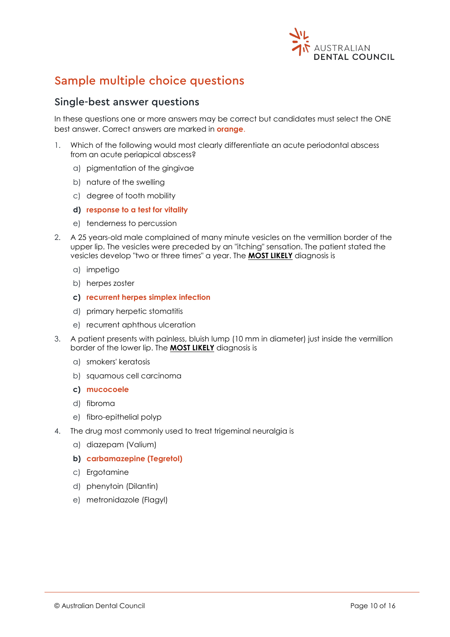

# <span id="page-9-0"></span>Sample multiple choice questions

### <span id="page-9-1"></span>Single-best answer questions

In these questions one or more answers may be correct but candidates must select the ONE best answer. Correct answers are marked in **orange**.

- 1. Which of the following would most clearly differentiate an acute periodontal abscess from an acute periapical abscess?
	- a) pigmentation of the gingivae
	- b) nature of the swelling
	- c) degree of tooth mobility
	- **d) response to a test for vitality**
	- e) tenderness to percussion
- 2. A 25 years-old male complained of many minute vesicles on the vermillion border of the upper lip. The vesicles were preceded by an "itching" sensation. The patient stated the vesicles develop "two or three times" a year. The **MOST LIKELY** diagnosis is
	- a) impetigo
	- b) herpes zoster
	- **c) recurrent herpes simplex infection**
	- d) primary herpetic stomatitis
	- e) recurrent aphthous ulceration
- 3. A patient presents with painless, bluish lump (10 mm in diameter) just inside the vermillion border of the lower lip. The **MOST LIKELY** diagnosis is
	- a) smokers' keratosis
	- b) squamous cell carcinoma
	- **c) mucocoele**
	- d) fibroma
	- e) fibro-epithelial polyp
- 4. The drug most commonly used to treat trigeminal neuralgia is
	- a) diazepam (Valium)
	- **b) carbamazepine (Tegretol)**
	- c) Ergotamine
	- d) phenytoin (Dilantin)
	- e) metronidazole (Flagyl)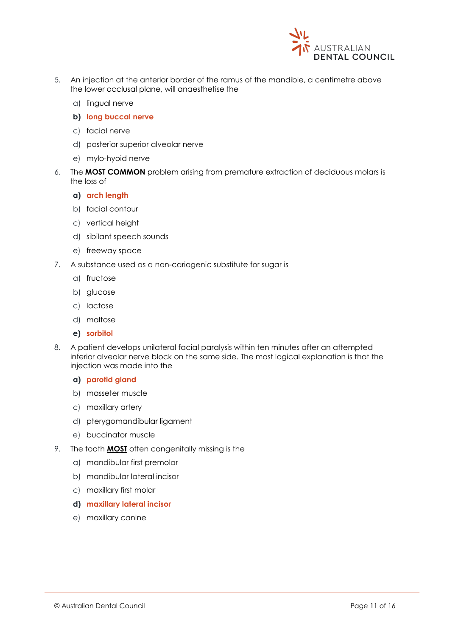

- 5. An injection at the anterior border of the ramus of the mandible, a centimetre above the lower occlusal plane, will anaesthetise the
	- a) lingual nerve
	- **b) long buccal nerve**
	- c) facial nerve
	- d) posterior superior alveolar nerve
	- e) mylo-hyoid nerve
- 6. The **MOST COMMON** problem arising from premature extraction of deciduous molars is the loss of
	- **a) arch length**
	- b) facial contour
	- c) vertical height
	- d) sibilant speech sounds
	- e) freeway space
- 7. A substance used as a non-cariogenic substitute for sugar is
	- a) fructose
	- b) glucose
	- c) lactose
	- d) maltose
	- **e) sorbitol**
- 8. A patient develops unilateral facial paralysis within ten minutes after an attempted inferior alveolar nerve block on the same side. The most logical explanation is that the injection was made into the
	- **a) parotid gland**
	- b) masseter muscle
	- c) maxillary artery
	- d) pterygomandibular ligament
	- e) buccinator muscle
- 9. The tooth **MOST** often congenitally missing is the
	- a) mandibular first premolar
	- b) mandibular lateral incisor
	- c) maxillary first molar
	- **d) maxillary lateral incisor**
	- e) maxillary canine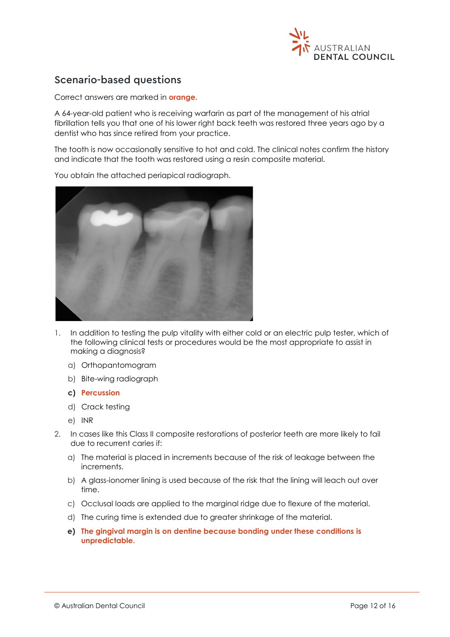

### <span id="page-11-0"></span>Scenario-based questions

Correct answers are marked in **orange.**

A 64-year-old patient who is receiving warfarin as part of the management of his atrial fibrillation tells you that one of his lower right back teeth was restored three years ago by a dentist who has since retired from your practice.

The tooth is now occasionally sensitive to hot and cold. The clinical notes confirm the history and indicate that the tooth was restored using a resin composite material.



You obtain the attached periapical radiograph.

- 1. In addition to testing the pulp vitality with either cold or an electric pulp tester, which of the following clinical tests or procedures would be the most appropriate to assist in making a diagnosis?
	- a) Orthopantomogram
	- b) Bite-wing radiograph
	- **c) Percussion**
	- d) Crack testing
	- e) INR
- 2. In cases like this Class II composite restorations of posterior teeth are more likely to fail due to recurrent caries if:
	- a) The material is placed in increments because of the risk of leakage between the increments.
	- b) A glass-ionomer lining is used because of the risk that the lining will leach out over time.
	- c) Occlusal loads are applied to the marginal ridge due to flexure of the material.
	- d) The curing time is extended due to greater shrinkage of the material.
	- **e) The gingival margin is on dentine because bonding under these conditions is unpredictable.**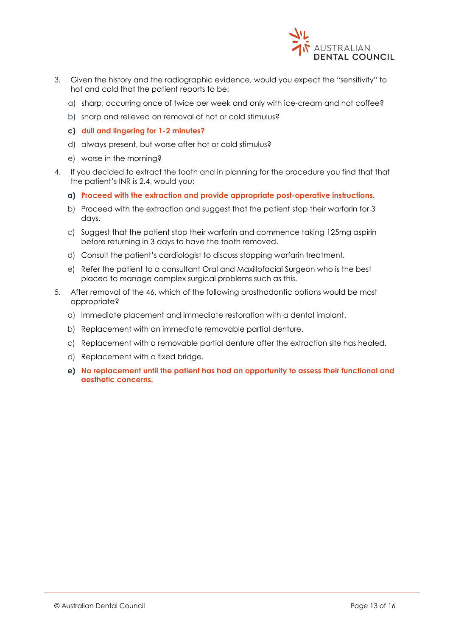

- 3. Given the history and the radiographic evidence, would you expect the "sensitivity" to hot and cold that the patient reports to be:
	- a) sharp, occurring once of twice per week and only with ice-cream and hot coffee?
	- b) sharp and relieved on removal of hot or cold stimulus?
	- **c) dull and lingering for 1-2 minutes?**
	- d) always present, but worse after hot or cold stimulus?
	- e) worse in the morning?
- 4. If you decided to extract the tooth and in planning for the procedure you find that that the patient's INR is 2.4, would you:
	- **a) Proceed with the extraction and provide appropriate post-operative instructions.**
	- b) Proceed with the extraction and suggest that the patient stop their warfarin for 3 days.
	- c) Suggest that the patient stop their warfarin and commence taking 125mg aspirin before returning in 3 days to have the tooth removed.
	- d) Consult the patient's cardiologist to discuss stopping warfarin treatment.
	- e) Refer the patient to a consultant Oral and Maxillofacial Surgeon who is the best placed to manage complex surgical problems such as this.
- 5. After removal of the 46, which of the following prosthodontic options would be most appropriate?
	- a) Immediate placement and immediate restoration with a dental implant.
	- b) Replacement with an immediate removable partial denture.
	- c) Replacement with a removable partial denture after the extraction site has healed.
	- d) Replacement with a fixed bridge.
	- **e) No replacement until the patient has had an opportunity to assess their functional and aesthetic concerns.**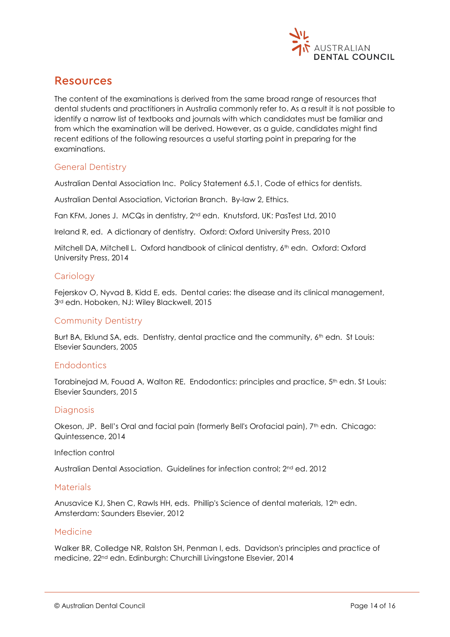

### <span id="page-13-0"></span>Resources

The content of the examinations is derived from the same broad range of resources that dental students and practitioners in Australia commonly refer to. As a result it is not possible to identify a narrow list of textbooks and journals with which candidates must be familiar and from which the examination will be derived. However, as a guide, candidates might find recent editions of the following resources a useful starting point in preparing for the examinations.

#### General Dentistry

Australian Dental Association Inc. Policy Statement 6.5.1, Code of ethics for dentists.

Australian Dental Association, Victorian Branch. By-law 2, Ethics.

Fan KFM, Jones J. MCQs in dentistry, 2nd edn. Knutsford, UK: PasTest Ltd, 2010

Ireland R, ed. A dictionary of dentistry. Oxford: Oxford University Press, 2010

Mitchell DA, Mitchell L. Oxford handbook of clinical dentistry, 6<sup>th</sup> edn. Oxford: Oxford University Press, 2014

#### **Cariology**

Fejerskov O, Nyvad B, Kidd E, eds. Dental caries: the disease and its clinical management, 3rd edn. Hoboken, NJ: Wiley Blackwell, 2015

#### Community Dentistry

Burt BA, Eklund SA, eds. Dentistry, dental practice and the community, 6<sup>th</sup> edn. St Louis: Elsevier Saunders, 2005

#### Endodontics

Torabinejad M, Fouad A, Walton RE. Endodontics: principles and practice, 5<sup>th</sup> edn. St Louis: Elsevier Saunders, 2015

#### Diagnosis

Okeson, JP. Bell's Oral and facial pain (formerly Bell's Orofacial pain), 7<sup>th</sup> edn. Chicago: Quintessence, 2014

Infection control

Australian Dental Association. Guidelines for infection control: 2nd ed. 2012

#### **Materials**

Anusavice KJ, Shen C, Rawls HH, eds. Phillip's Science of dental materials, 12th edn. Amsterdam: Saunders Elsevier, 2012

#### Medicine

Walker BR, Colledge NR, Ralston SH, Penman I, eds. Davidson's principles and practice of medicine, 22nd edn. Edinburgh: Churchill Livingstone Elsevier, 2014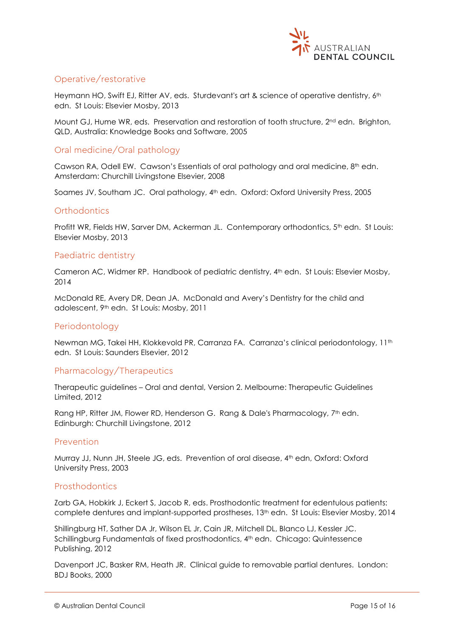

### Operative/restorative

Heymann HO, Swift EJ, Ritter AV, eds. Sturdevant's art & science of operative dentistry, 6<sup>th</sup> edn. St Louis: Elsevier Mosby, 2013

Mount GJ, Hume WR, eds. Preservation and restoration of tooth structure, 2<sup>nd</sup> edn. Brighton, QLD, Australia: Knowledge Books and Software, 2005

### Oral medicine/Oral pathology

Cawson RA, Odell EW. Cawson's Essentials of oral pathology and oral medicine, 8th edn. Amsterdam: Churchill Livingstone Elsevier, 2008

Soames JV, Southam JC. Oral pathology, 4<sup>th</sup> edn. Oxford: Oxford University Press, 2005

#### **Orthodontics**

Profitt WR, Fields HW, Sarver DM, Ackerman JL. Contemporary orthodontics, 5<sup>th</sup> edn. St Louis: Elsevier Mosby, 2013

#### Paediatric dentistry

Cameron AC, Widmer RP. Handbook of pediatric dentistry, 4th edn. St Louis: Elsevier Mosby, 2014

McDonald RE, Avery DR, Dean JA. McDonald and Avery's Dentistry for the child and adolescent, 9th edn. St Louis: Mosby, 2011

#### Periodontology

Newman MG, Takei HH, Klokkevold PR, Carranza FA. Carranza's clinical periodontology, 11<sup>th</sup> edn. St Louis: Saunders Elsevier, 2012

#### Pharmacology/Therapeutics

Therapeutic guidelines – Oral and dental, Version 2. Melbourne: Therapeutic Guidelines Limited, 2012

Rang HP, Ritter JM, Flower RD, Henderson G. Rang & Dale's Pharmacology, 7<sup>th</sup> edn. Edinburgh: Churchill Livingstone, 2012

#### Prevention

Murray JJ, Nunn JH, Steele JG, eds. Prevention of oral disease, 4th edn, Oxford: Oxford University Press, 2003

#### Prosthodontics

Zarb GA, Hobkirk J, Eckert S, Jacob R, eds. Prosthodontic treatment for edentulous patients: complete dentures and implant-supported prostheses, 13th edn. St Louis: Elsevier Mosby, 2014

Shillingburg HT, Sather DA Jr, Wilson EL Jr, Cain JR, Mitchell DL, Blanco LJ, Kessler JC. Schillingburg Fundamentals of fixed prosthodontics, 4<sup>th</sup> edn. Chicago: Quintessence Publishing, 2012

Davenport JC, Basker RM, Heath JR. Clinical guide to removable partial dentures. London: BDJ Books, 2000